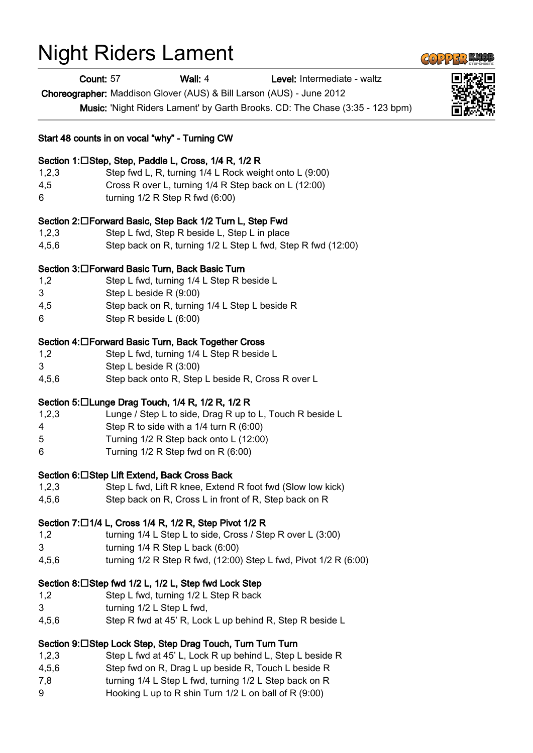# Night Riders Lament

Count: 57 Wall: 4 Level: Intermediate - waltz

Choreographer: Maddison Glover (AUS) & Bill Larson (AUS) - June 2012

Music: 'Night Riders Lament' by Garth Brooks. CD: The Chase (3:35 - 123 bpm)

#### Start 48 counts in on vocal "why" - Turning CW

#### Section 1:□Step, Step, Paddle L, Cross, 1/4 R, 1/2 R

- 1,2,3 Step fwd L, R, turning 1/4 L Rock weight onto L (9:00)
- 4,5 Cross R over L, turning 1/4 R Step back on L (12:00)
- 6 turning 1/2 R Step R fwd (6:00)

#### Section 2:□Forward Basic, Step Back 1/2 Turn L, Step Fwd

- 1,2,3 Step L fwd, Step R beside L, Step L in place
- 4,5,6 Step back on R, turning 1/2 L Step L fwd, Step R fwd (12:00)

## Section 3:□Forward Basic Turn, Back Basic Turn

- 1,2 Step L fwd, turning 1/4 L Step R beside L
- 3 Step L beside R (9:00)
- 4,5 Step back on R, turning 1/4 L Step L beside R
- 6 Step R beside L (6:00)

#### Section 4: □ Forward Basic Turn, Back Together Cross

- 1,2 Step L fwd, turning 1/4 L Step R beside L
- 3 Step L beside R (3:00)
- 4,5,6 Step back onto R, Step L beside R, Cross R over L

## Section 5: $\Box$ Lunge Drag Touch, 1/4 R, 1/2 R, 1/2 R

- 1,2,3 Lunge / Step L to side, Drag R up to L, Touch R beside L
- 4 Step R to side with a 1/4 turn R (6:00)
- 5 Turning 1/2 R Step back onto L (12:00)
- 6 Turning 1/2 R Step fwd on R (6:00)

#### Section 6: □ Step Lift Extend, Back Cross Back

- 1,2,3 Step L fwd, Lift R knee, Extend R foot fwd (Slow low kick)
- 4,5,6 Step back on R, Cross L in front of R, Step back on R

## Section 7:□1/4 L, Cross 1/4 R, 1/2 R, Step Pivot 1/2 R

- 1,2 turning 1/4 L Step L to side, Cross / Step R over L (3:00)
- 3 turning 1/4 R Step L back (6:00)
- 4,5,6 turning 1/2 R Step R fwd, (12:00) Step L fwd, Pivot 1/2 R (6:00)

## Section 8:□Step fwd 1/2 L, 1/2 L, Step fwd Lock Step

- 1,2 Step L fwd, turning 1/2 L Step R back
- 3 turning 1/2 L Step L fwd,
- 4,5,6 Step R fwd at 45' R, Lock L up behind R, Step R beside L

## Section 9:□Step Lock Step, Step Drag Touch, Turn Turn Turn

- 1,2,3 Step L fwd at 45' L, Lock R up behind L, Step L beside R
- 4,5,6 Step fwd on R, Drag L up beside R, Touch L beside R
- 7,8 turning 1/4 L Step L fwd, turning 1/2 L Step back on R
- 9 Hooking L up to R shin Turn 1/2 L on ball of R (9:00)